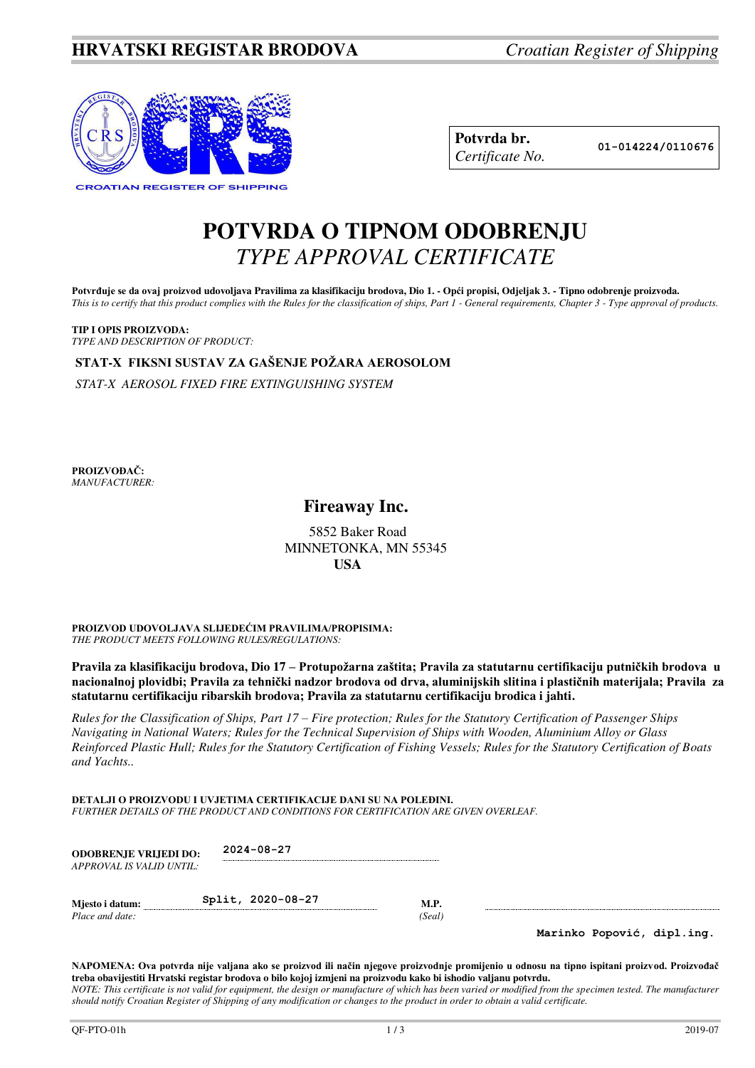

| Potvrda br.     |
|-----------------|
| Certificate No. |

**Potvrda br. 01-014224/0110676**

## **POTVRDA O TIPNOM ODOBRENJU**  *TYPE APPROVAL CERTIFICATE*

Potvrđuje se da ovaj proizvod udovoljava Pravilima za klasifikaciju brodova, Dio 1. - Opći propisi, Odjeljak 3. - Tipno odobrenje proizvoda. *This is to certify that this product complies with the Rules for the classification of ships, Part 1 - General requirements, Chapter 3 - Type approval of products.* 

**TIP I OPIS PROIZVODA:** *TYPE AND DESCRIPTION OF PRODUCT:* 

**STAT-X FIKSNI SUSTAV ZA GAŠENJE POŽARA AEROSOLOM**

*STAT-X AEROSOL FIXED FIRE EXTINGUISHING SYSTEM* 

**PROIZVOĐAČ:** *MANUFACTURER:*

## **Fireaway Inc.**

 5852 Baker Road MINNETONKA, MN 55345 **USA**

**PROIZVOD UDOVOLJAVA SLIJEDEĆIM PRAVILIMA/PROPISIMA:** *THE PRODUCT MEETS FOLLOWING RULES/REGULATIONS:* 

**Pravila za klasifikaciju brodova, Dio 17 – Protupožarna zaštita; Pravila za statutarnu certifikaciju putničkih brodova u nacionalnoj plovidbi; Pravila za tehnički nadzor brodova od drva, aluminijskih slitina i plastičnih materijala; Pravila za statutarnu certifikaciju ribarskih brodova; Pravila za statutarnu certifikaciju brodica i jahti.** 

*Rules for the Classification of Ships, Part 17 – Fire protection; Rules for the Statutory Certification of Passenger Ships Navigating in National Waters; Rules for the Technical Supervision of Ships with Wooden, Aluminium Alloy or Glass Reinforced Plastic Hull; Rules for the Statutory Certification of Fishing Vessels; Rules for the Statutory Certification of Boats and Yachts..* 

**DETALJI O PROIZVODU I UVJETIMA CERTIFIKACIJE DANI SU NA POLEĐINI.** *FURTHER DETAILS OF THE PRODUCT AND CONDITIONS FOR CERTIFICATION ARE GIVEN OVERLEAF.* 

| <b>ODOBRENJE VRLJEDI DO:</b><br>APPROVAL IS VALID UNTIL: | $2024 - 08 - 27$  |                       |                            |
|----------------------------------------------------------|-------------------|-----------------------|----------------------------|
| Mjesto i datum:<br>Place and date:                       | Split, 2020-08-27 | <b>M.P.</b><br>(Seal) |                            |
|                                                          |                   |                       | Marinko Popović, dipl.ing. |

**NAPOMENA: Ova potvrda nije valjana ako se proizvod ili način njegove proizvodnje promijenio u odnosu na tipno ispitani proizvod. Proizvođač treba obavijestiti Hrvatski registar brodova o bilo kojoj izmjeni na proizvodu kako bi ishodio valjanu potvrdu.**  *NOTE: This certificate is not valid for equipment, the design or manufacture of which has been varied or modified from the specimen tested. The manufacturer should notify Croatian Register of Shipping of any modification or changes to the product in order to obtain a valid certificate.*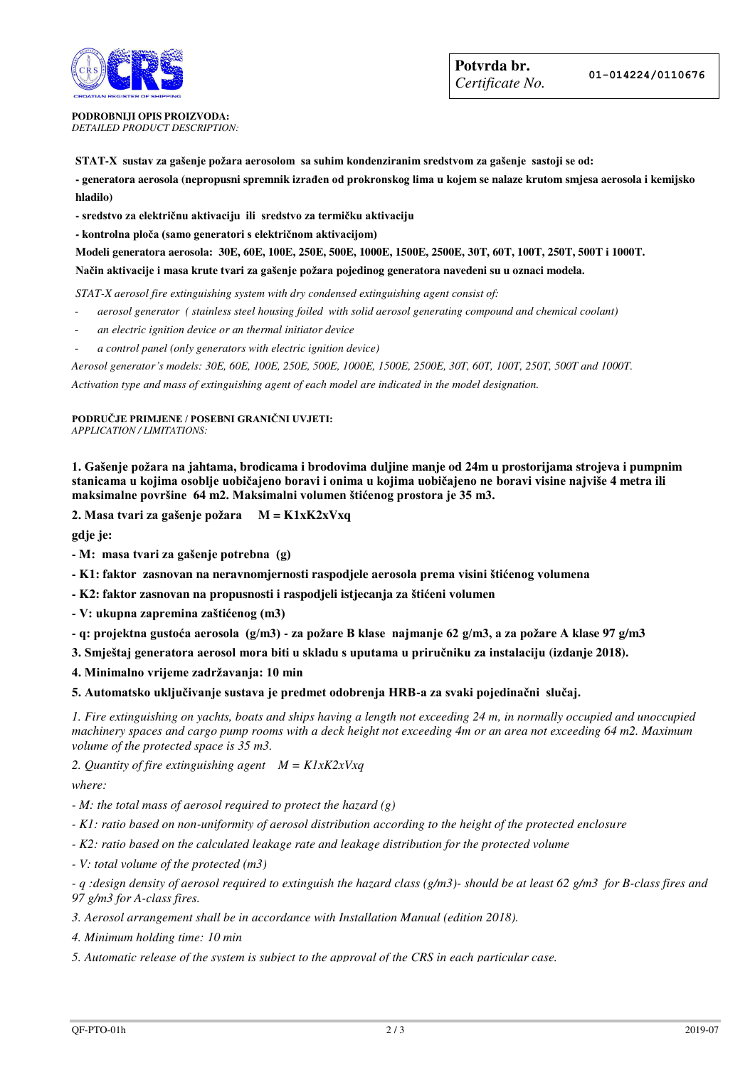

**PODROBNIJI OPIS PROIZVODA:** *DETAILED PRODUCT DESCRIPTION:* 

**STAT-X sustav za gašenje požara aerosolom sa suhim kondenziranim sredstvom za gašenje sastoji se od:**

**- generatora aerosola (nepropusni spremnik izrađen od prokronskog lima u kojem se nalaze krutom smjesa aerosola i kemijsko hladilo)** 

**- sredstvo za električnu aktivaciju ili sredstvo za termičku aktivaciju**

**- kontrolna ploča (samo generatori s električnom aktivacijom)**

**Modeli generatora aerosola: 30E, 60E, 100E, 250E, 500E, 1000E, 1500E, 2500E, 30T, 60T, 100T, 250T, 500T i 1000T.** 

**Način aktivacije i masa krute tvari za gašenje požara pojedinog generatora navedeni su u oznaci modela.** 

*STAT-X aerosol fire extinguishing system with dry condensed extinguishing agent consist of:* 

- *aerosol generator ( stainless steel housing foiled with solid aerosol generating compound and chemical coolant)*
- *an electric ignition device or an thermal initiator device*
- *a control panel (only generators with electric ignition device)*

*Aerosol generator's models: 30E, 60E, 100E, 250E, 500E, 1000E, 1500E, 2500E, 30T, 60T, 100T, 250T, 500T and 1000T.* 

*Activation type and mass of extinguishing agent of each model are indicated in the model designation.* 

**PODRUČJE PRIMJENE / POSEBNI GRANIČNI UVJETI:** *APPLICATION / LIMITATIONS:* 

**1. Gašenje požara na jahtama, brodicama i brodovima duljine manje od 24m u prostorijama strojeva i pumpnim stanicama u kojima osoblje uobičajeno boravi i onima u kojima uobičajeno ne boravi visine najviše 4 metra ili maksimalne površine 64 m2. Maksimalni volumen štićenog prostora je 35 m3.**

**2. Masa tvari za gašenje požara M = K1xK2xVxq** 

**gdje je:** 

**- M: masa tvari za gašenje potrebna (g)**

**- K1: faktor zasnovan na neravnomjernosti raspodjele aerosola prema visini štićenog volumena**

**- K2: faktor zasnovan na propusnosti i raspodjeli istjecanja za štićeni volumen**

**- V: ukupna zapremina zaštićenog (m3)**

**- q: projektna gustoća aerosola (g/m3) - za požare B klase najmanje 62 g/m3, a za požare A klase 97 g/m3** 

**3. Smještaj generatora aerosol mora biti u skladu s uputama u priručniku za instalaciju (izdanje 2018).** 

**4. Minimalno vrijeme zadržavanja: 10 min**

**5. Automatsko uključivanje sustava je predmet odobrenja HRB-a za svaki pojedinačni slučaj.**

*1. Fire extinguishing on yachts, boats and ships having a length not exceeding 24 m, in normally occupied and unoccupied machinery spaces and cargo pump rooms with a deck height not exceeding 4m or an area not exceeding 64 m2. Maximum volume of the protected space is 35 m3.* 

*2. Quantity of fire extinguishing agent M = K1xK2xVxq* 

*where:* 

*- M: the total mass of aerosol required to protect the hazard (g)* 

*- K1: ratio based on non-uniformity of aerosol distribution according to the height of the protected enclosure*

*- K2: ratio based on the calculated leakage rate and leakage distribution for the protected volume* 

*- V: total volume of the protected (m3)* 

*- q :design density of aerosol required to extinguish the hazard class (g/m3)- should be at least 62 g/m3 for B-class fires and 97 g/m3 for A-class fires.* 

*3. Aerosol arrangement shall be in accordance with Installation Manual (edition 2018).* 

*4. Minimum holding time: 10 min* 

*5. Automatic release of the system is subject to the approval of the CRS in each particular case.*